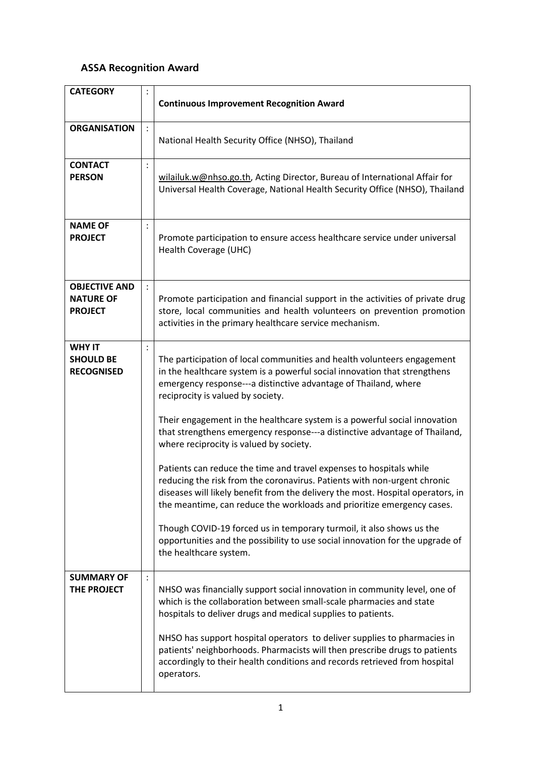## **ASSA Recognition Award**

| <b>CATEGORY</b>                                            |                | <b>Continuous Improvement Recognition Award</b>                                                                                                                                                                                                                                                                                                                                                                                                                                                                                                                                                                          |
|------------------------------------------------------------|----------------|--------------------------------------------------------------------------------------------------------------------------------------------------------------------------------------------------------------------------------------------------------------------------------------------------------------------------------------------------------------------------------------------------------------------------------------------------------------------------------------------------------------------------------------------------------------------------------------------------------------------------|
| <b>ORGANISATION</b>                                        | $\ddot{\cdot}$ | National Health Security Office (NHSO), Thailand                                                                                                                                                                                                                                                                                                                                                                                                                                                                                                                                                                         |
| <b>CONTACT</b><br><b>PERSON</b>                            | $\ddot{\cdot}$ | wilailuk.w@nhso.go.th, Acting Director, Bureau of International Affair for<br>Universal Health Coverage, National Health Security Office (NHSO), Thailand                                                                                                                                                                                                                                                                                                                                                                                                                                                                |
| <b>NAME OF</b><br><b>PROJECT</b>                           | $\ddot{\cdot}$ | Promote participation to ensure access healthcare service under universal<br>Health Coverage (UHC)                                                                                                                                                                                                                                                                                                                                                                                                                                                                                                                       |
| <b>OBJECTIVE AND</b><br><b>NATURE OF</b><br><b>PROJECT</b> |                | Promote participation and financial support in the activities of private drug<br>store, local communities and health volunteers on prevention promotion<br>activities in the primary healthcare service mechanism.                                                                                                                                                                                                                                                                                                                                                                                                       |
| <b>WHY IT</b><br><b>SHOULD BE</b><br><b>RECOGNISED</b>     |                | The participation of local communities and health volunteers engagement<br>in the healthcare system is a powerful social innovation that strengthens<br>emergency response---a distinctive advantage of Thailand, where<br>reciprocity is valued by society.<br>Their engagement in the healthcare system is a powerful social innovation                                                                                                                                                                                                                                                                                |
|                                                            |                | that strengthens emergency response---a distinctive advantage of Thailand,<br>where reciprocity is valued by society.<br>Patients can reduce the time and travel expenses to hospitals while<br>reducing the risk from the coronavirus. Patients with non-urgent chronic<br>diseases will likely benefit from the delivery the most. Hospital operators, in<br>the meantime, can reduce the workloads and prioritize emergency cases.<br>Though COVID-19 forced us in temporary turmoil, it also shows us the<br>opportunities and the possibility to use social innovation for the upgrade of<br>the healthcare system. |
| <b>SUMMARY OF</b><br>THE PROJECT                           | $\ddot{\cdot}$ | NHSO was financially support social innovation in community level, one of<br>which is the collaboration between small-scale pharmacies and state<br>hospitals to deliver drugs and medical supplies to patients.<br>NHSO has support hospital operators to deliver supplies to pharmacies in<br>patients' neighborhoods. Pharmacists will then prescribe drugs to patients<br>accordingly to their health conditions and records retrieved from hospital<br>operators.                                                                                                                                                   |